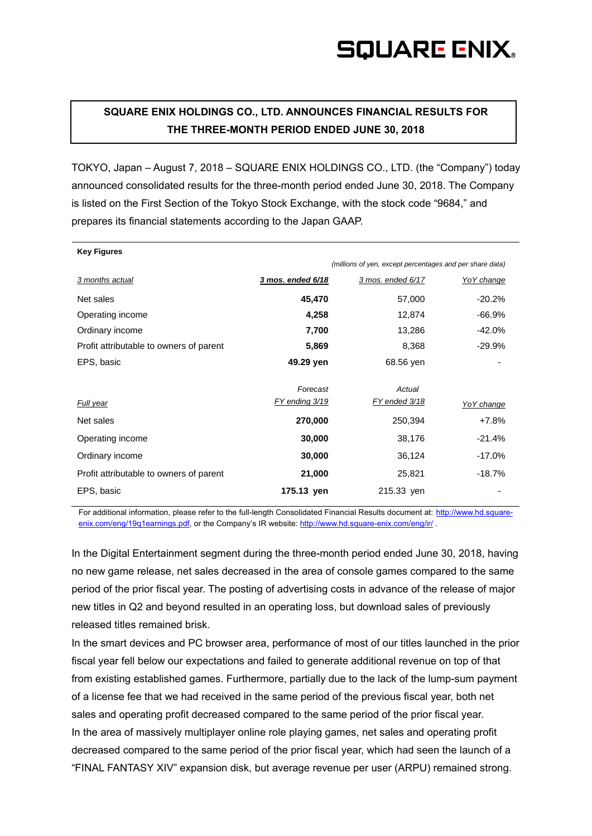## **SQUARE ENIX.**

### **SQUARE ENIX HOLDINGS CO., LTD. ANNOUNCES FINANCIAL RESULTS FOR THE THREE-MONTH PERIOD ENDED JUNE 30, 2018**

TOKYO, Japan – August 7, 2018 – SQUARE ENIX HOLDINGS CO., LTD. (the "Company") today announced consolidated results for the three-month period ended June 30, 2018. The Company is listed on the First Section of the Tokyo Stock Exchange, with the stock code "9684," and prepares its financial statements according to the Japan GAAP.

| <b>Key Figures</b>                                       |                   |                   |            |
|----------------------------------------------------------|-------------------|-------------------|------------|
| (millions of yen, except percentages and per share data) |                   |                   |            |
| 3 months actual                                          | 3 mos. ended 6/18 | 3 mos. ended 6/17 | YoY change |
| Net sales                                                | 45,470            | 57,000            | $-20.2%$   |
| Operating income                                         | 4,258             | 12,874            | $-66.9%$   |
| Ordinary income                                          | 7,700             | 13,286            | -42.0%     |
| Profit attributable to owners of parent                  | 5,869             | 8,368             | $-29.9\%$  |
| EPS, basic                                               | 49.29 yen         | 68.56 yen         |            |
|                                                          |                   |                   |            |
|                                                          | Forecast          | Actual            |            |
| Full year                                                | FY ending 3/19    | FY ended 3/18     | YoY change |
| Net sales                                                | 270,000           | 250,394           | +7.8%      |
| Operating income                                         | 30,000            | 38,176            | $-21.4%$   |
| Ordinary income                                          | 30,000            | 36,124            | $-17.0\%$  |
| Profit attributable to owners of parent                  | 21,000            | 25,821            | $-18.7\%$  |
| EPS, basic                                               | 175.13 yen        | 215.33 yen        |            |

For additional information, please refer to the full-length Consolidated Financial Results document at: [http://www.hd.square](http://www.hd.square-enix.com/eng/19q1earnings.pdf)[enix.com/eng/19q1earnings.pdf,](http://www.hd.square-enix.com/eng/19q1earnings.pdf) or the Company's IR website: <http://www.hd.square-enix.com/eng/ir/>.

In the Digital Entertainment segment during the three-month period ended June 30, 2018, having no new game release, net sales decreased in the area of console games compared to the same period of the prior fiscal year. The posting of advertising costs in advance of the release of major new titles in Q2 and beyond resulted in an operating loss, but download sales of previously released titles remained brisk.

In the smart devices and PC browser area, performance of most of our titles launched in the prior fiscal year fell below our expectations and failed to generate additional revenue on top of that from existing established games. Furthermore, partially due to the lack of the lump-sum payment of a license fee that we had received in the same period of the previous fiscal year, both net sales and operating profit decreased compared to the same period of the prior fiscal year. In the area of massively multiplayer online role playing games, net sales and operating profit decreased compared to the same period of the prior fiscal year, which had seen the launch of a "FINAL FANTASY XIV" expansion disk, but average revenue per user (ARPU) remained strong.